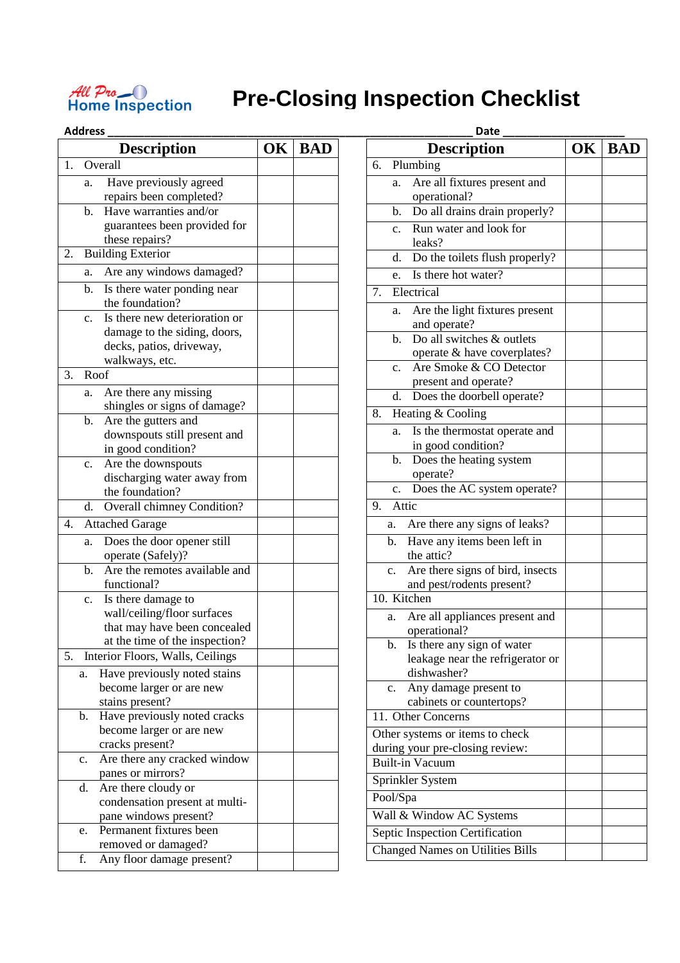

## **Pre-Closing Inspection Checklist**

|    |                | <b>Description</b>                                             | <b>OK</b> | <b>BAD</b> |
|----|----------------|----------------------------------------------------------------|-----------|------------|
| 1. |                | Overall                                                        |           |            |
|    | a.             | Have previously agreed                                         |           |            |
|    |                | repairs been completed?                                        |           |            |
|    | b.             | Have warranties and/or                                         |           |            |
|    |                | guarantees been provided for                                   |           |            |
|    |                | these repairs?                                                 |           |            |
| 2. |                | <b>Building Exterior</b>                                       |           |            |
|    | a.             | Are any windows damaged?                                       |           |            |
|    | b.             | Is there water ponding near                                    |           |            |
|    |                | the foundation?                                                |           |            |
|    | c.             | Is there new deterioration or                                  |           |            |
|    |                | damage to the siding, doors,                                   |           |            |
|    |                | decks, patios, driveway,                                       |           |            |
|    |                | walkways, etc.                                                 |           |            |
| 3. |                | Roof                                                           |           |            |
|    | a.             | Are there any missing                                          |           |            |
|    |                | shingles or signs of damage?                                   |           |            |
|    | b.             | Are the gutters and                                            |           |            |
|    |                | downspouts still present and                                   |           |            |
|    |                | in good condition?                                             |           |            |
|    | c.             | Are the downspouts                                             |           |            |
|    |                | discharging water away from                                    |           |            |
|    |                | the foundation?                                                |           |            |
|    | d.             | Overall chimney Condition?                                     |           |            |
| 4. |                | <b>Attached Garage</b>                                         |           |            |
|    | a.             | Does the door opener still                                     |           |            |
|    |                | operate (Safely)?                                              |           |            |
|    | b.             | Are the remotes available and                                  |           |            |
|    |                | functional?                                                    |           |            |
|    | $\mathbf{c}$ . | Is there damage to                                             |           |            |
|    |                | wall/ceiling/floor surfaces                                    |           |            |
|    |                | that may have been concealed<br>at the time of the inspection? |           |            |
| 5. |                |                                                                |           |            |
|    |                | Interior Floors, Walls, Ceilings                               |           |            |
|    | a.             | Have previously noted stains                                   |           |            |
|    |                | become larger or are new<br>stains present?                    |           |            |
|    | b.             | Have previously noted cracks                                   |           |            |
|    |                | become larger or are new                                       |           |            |
|    |                | cracks present?                                                |           |            |
|    | c.             | Are there any cracked window                                   |           |            |
|    |                | panes or mirrors?                                              |           |            |
|    | d.             | Are there cloudy or                                            |           |            |
|    |                | condensation present at multi-                                 |           |            |
|    |                | pane windows present?                                          |           |            |
|    | e.             | Permanent fixtures been                                        |           |            |
|    |                | removed or damaged?                                            |           |            |
|    | f.             | Any floor damage present?                                      |           |            |

|                | <b>Address</b>                                                                  |    |            | Date                                                                       |    |            |  |  |
|----------------|---------------------------------------------------------------------------------|----|------------|----------------------------------------------------------------------------|----|------------|--|--|
|                | <b>Description</b>                                                              | OK | <b>BAD</b> | <b>Description</b>                                                         | OK | <b>BAD</b> |  |  |
|                | Overall                                                                         |    |            | 6. Plumbing                                                                |    |            |  |  |
|                | Have previously agreed<br>a.<br>repairs been completed?                         |    |            | Are all fixtures present and<br>a.<br>operational?                         |    |            |  |  |
|                | Have warranties and/or<br>$\mathbf{b}$ .                                        |    |            | b. Do all drains drain properly?                                           |    |            |  |  |
|                | guarantees been provided for<br>these repairs?                                  |    |            | Run water and look for<br>$c_{\cdot}$<br>leaks?                            |    |            |  |  |
| 2.             | <b>Building Exterior</b>                                                        |    |            | Do the toilets flush properly?<br>d.                                       |    |            |  |  |
|                | Are any windows damaged?<br>a.                                                  |    |            | Is there hot water?<br>e.                                                  |    |            |  |  |
|                | b. Is there water ponding near<br>the foundation?                               |    |            | Electrical<br>7.                                                           |    |            |  |  |
|                | Is there new deterioration or<br>$\mathbf{c}$ .<br>damage to the siding, doors, |    |            | Are the light fixtures present<br>a.<br>and operate?                       |    |            |  |  |
|                | decks, patios, driveway,<br>walkways, etc.                                      |    |            | Do all switches & outlets<br>$\mathbf{b}$ .<br>operate & have coverplates? |    |            |  |  |
| 3.             | Roof                                                                            |    |            | Are Smoke & CO Detector<br>$\mathbf{c}$ .<br>present and operate?          |    |            |  |  |
|                | Are there any missing<br>a.<br>shingles or signs of damage?                     |    |            | d. Does the doorbell operate?                                              |    |            |  |  |
|                | Are the gutters and<br>$\mathbf{b}$ .                                           |    |            | 8. Heating & Cooling                                                       |    |            |  |  |
|                | downspouts still present and<br>in good condition?                              |    |            | Is the thermostat operate and<br>a.<br>in good condition?                  |    |            |  |  |
|                | Are the downspouts<br>$\mathbf{c}$ .                                            |    |            | b. Does the heating system<br>operate?                                     |    |            |  |  |
|                | discharging water away from<br>the foundation?                                  |    |            | c. Does the AC system operate?                                             |    |            |  |  |
|                | Overall chimney Condition?<br>d.                                                |    |            | Attic<br>9.                                                                |    |            |  |  |
| 4.             | <b>Attached Garage</b>                                                          |    |            | Are there any signs of leaks?<br>a.                                        |    |            |  |  |
|                | Does the door opener still<br>a.<br>operate (Safely)?                           |    |            | Have any items been left in<br>$\mathbf{b}$ .<br>the attic?                |    |            |  |  |
|                | Are the remotes available and<br>b.<br>functional?                              |    |            | Are there signs of bird, insects<br>c.<br>and pest/rodents present?        |    |            |  |  |
|                | Is there damage to<br>c.                                                        |    |            | 10. Kitchen                                                                |    |            |  |  |
|                | wall/ceiling/floor surfaces                                                     |    |            | Are all appliances present and<br>а.                                       |    |            |  |  |
|                | that may have been concealed<br>at the time of the inspection?                  |    |            | operational?                                                               |    |            |  |  |
| 5.             | Interior Floors, Walls, Ceilings                                                |    |            | b. Is there any sign of water                                              |    |            |  |  |
|                | Have previously noted stains<br>a.                                              |    |            | leakage near the refrigerator or<br>dishwasher?                            |    |            |  |  |
|                | become larger or are new                                                        |    |            | Any damage present to<br>$c_{\cdot}$                                       |    |            |  |  |
|                | stains present?                                                                 |    |            | cabinets or countertops?                                                   |    |            |  |  |
| $\mathbf{b}$ . | Have previously noted cracks                                                    |    |            | 11. Other Concerns                                                         |    |            |  |  |
|                | become larger or are new                                                        |    |            | Other systems or items to check                                            |    |            |  |  |
|                | cracks present?                                                                 |    |            | during your pre-closing review:                                            |    |            |  |  |
| c.             | Are there any cracked window                                                    |    |            | <b>Built-in Vacuum</b>                                                     |    |            |  |  |
|                | panes or mirrors?<br>Are there cloudy or<br>d.                                  |    |            | Sprinkler System                                                           |    |            |  |  |
|                | condensation present at multi-                                                  |    |            | Pool/Spa                                                                   |    |            |  |  |
|                | pane windows present?                                                           |    |            | Wall & Window AC Systems                                                   |    |            |  |  |
|                | Permanent fixtures been<br>e.                                                   |    |            | Septic Inspection Certification                                            |    |            |  |  |
|                | removed or damaged?                                                             |    |            | <b>Changed Names on Utilities Bills</b>                                    |    |            |  |  |
| f              | Any floor damage present?                                                       |    |            |                                                                            |    |            |  |  |